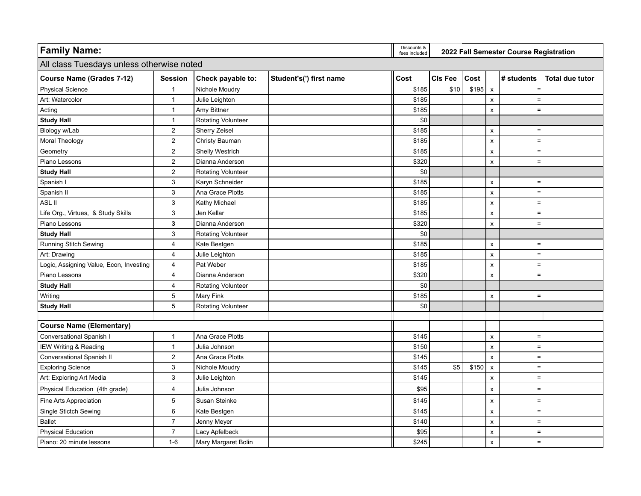| <b>Family Name:</b>                       |                  |                           |                         | Discounts &<br>fees included | 2022 Fall Semester Course Registration |       |                    |            |                        |
|-------------------------------------------|------------------|---------------------------|-------------------------|------------------------------|----------------------------------------|-------|--------------------|------------|------------------------|
| All class Tuesdays unless otherwise noted |                  |                           |                         |                              |                                        |       |                    |            |                        |
| <b>Course Name (Grades 7-12)</b>          | <b>Session</b>   | Check payable to:         | Student's(') first name | Cost                         | <b>CIs Fee</b>                         | Cost  |                    | # students | <b>Total due tutor</b> |
| <b>Physical Science</b>                   | $\mathbf{1}$     | Nichole Moudry            |                         | \$185                        | \$10                                   | \$195 | $\pmb{\mathsf{x}}$ | $\equiv$   |                        |
| Art: Watercolor                           | $\mathbf{1}$     | Julie Leighton            |                         | \$185                        |                                        |       | $\pmb{\times}$     | $\equiv$   |                        |
| Acting                                    | $\mathbf{1}$     | Amy Bittner               |                         | \$185                        |                                        |       | $\pmb{\times}$     | $\equiv$   |                        |
| <b>Study Hall</b>                         | $\mathbf{1}$     | Rotating Volunteer        |                         | \$0                          |                                        |       |                    |            |                        |
| Biology w/Lab                             | $\overline{2}$   | Sherry Zeisel             |                         | \$185                        |                                        |       | $\pmb{\times}$     | $\equiv$   |                        |
| Moral Theology                            | $\overline{c}$   | Christy Bauman            |                         | \$185                        |                                        |       | x                  | $\equiv$   |                        |
| Geometry                                  | $\sqrt{2}$       | Shelly Westrich           |                         | \$185                        |                                        |       | $\mathsf{x}$       | $\equiv$   |                        |
| Piano Lessons                             | $\overline{2}$   | Dianna Anderson           |                         | \$320                        |                                        |       | $\pmb{\times}$     | $\equiv$   |                        |
| <b>Study Hall</b>                         | $\overline{c}$   | Rotating Volunteer        |                         | \$0                          |                                        |       |                    |            |                        |
| Spanish I                                 | $\mathsf 3$      | Karyn Schneider           |                         | \$185                        |                                        |       | $\pmb{\times}$     | $\equiv$   |                        |
| Spanish II                                | 3                | Ana Grace Plotts          |                         | \$185                        |                                        |       | x                  | $\equiv$   |                        |
| ASL II                                    | 3                | Kathy Michael             |                         | \$185                        |                                        |       | X                  | $\equiv$   |                        |
| Life Org., Virtues, & Study Skills        | $\mathsf 3$      | Jen Kellar                |                         | \$185                        |                                        |       | x                  | $\equiv$   |                        |
| Piano Lessons                             | 3                | Dianna Anderson           |                         | \$320                        |                                        |       | x                  | $\equiv$   |                        |
| <b>Study Hall</b>                         | $\mathsf 3$      | Rotating Volunteer        |                         | \$0                          |                                        |       |                    |            |                        |
| Running Stitch Sewing                     | 4                | Kate Bestgen              |                         | \$185                        |                                        |       | x                  | $=$        |                        |
| Art: Drawing                              | $\overline{4}$   | Julie Leighton            |                         | \$185                        |                                        |       | $\pmb{\mathsf{x}}$ | $\equiv$   |                        |
| Logic, Assigning Value, Econ, Investing   | $\overline{4}$   | Pat Weber                 |                         | \$185                        |                                        |       | x                  | $\equiv$   |                        |
| Piano Lessons                             | $\overline{4}$   | Dianna Anderson           |                         | \$320                        |                                        |       | $\mathsf{x}$       | $\equiv$   |                        |
| <b>Study Hall</b>                         | $\overline{4}$   | <b>Rotating Volunteer</b> |                         | \$0                          |                                        |       |                    |            |                        |
| Writing                                   | $\,$ 5 $\,$      | Mary Fink                 |                         | \$185                        |                                        |       | x                  | $=$        |                        |
| <b>Study Hall</b>                         | 5                | Rotating Volunteer        |                         | \$0                          |                                        |       |                    |            |                        |
|                                           |                  |                           |                         |                              |                                        |       |                    |            |                        |
| <b>Course Name (Elementary)</b>           |                  |                           |                         |                              |                                        |       |                    |            |                        |
| Conversational Spanish I                  | $\mathbf{1}$     | Ana Grace Plotts          |                         | \$145                        |                                        |       | x                  | $\equiv$   |                        |
| <b>IEW Writing &amp; Reading</b>          | $\mathbf{1}$     | Julia Johnson             |                         | \$150                        |                                        |       | $\pmb{\times}$     | $\equiv$   |                        |
| Conversational Spanish II                 | $\sqrt{2}$       | Ana Grace Plotts          |                         | \$145                        |                                        |       | $\pmb{\mathsf{x}}$ | $\equiv$   |                        |
| <b>Exploring Science</b>                  | $\mathsf 3$      | Nichole Moudry            |                         | \$145                        | \$5                                    | \$150 | $\pmb{\mathsf{x}}$ | $\equiv$   |                        |
| Art: Exploring Art Media                  | $\mathsf 3$      | Julie Leighton            |                         | \$145                        |                                        |       | $\pmb{\times}$     | $\equiv$   |                        |
| Physical Education (4th grade)            | 4                | Julia Johnson             |                         | \$95                         |                                        |       | x                  | $\equiv$   |                        |
| Fine Arts Appreciation                    | $\,$ 5 $\,$      | Susan Steinke             |                         | \$145                        |                                        |       | x                  | $\equiv$   |                        |
| Single Stictch Sewing                     | $\,6\,$          | Kate Bestgen              |                         | \$145                        |                                        |       | X                  | $\equiv$   |                        |
| <b>Ballet</b>                             | $\overline{7}$   | Jenny Meyer               |                         | \$140                        |                                        |       | $\pmb{\times}$     | $\equiv$   |                        |
| <b>Physical Education</b>                 | $\boldsymbol{7}$ | Lacy Apfelbeck            |                         | \$95                         |                                        |       | x                  | $\equiv$   |                        |
| Piano: 20 minute lessons                  | $1 - 6$          | Mary Margaret Bolin       |                         | \$245                        |                                        |       | x                  | $\equiv$   |                        |